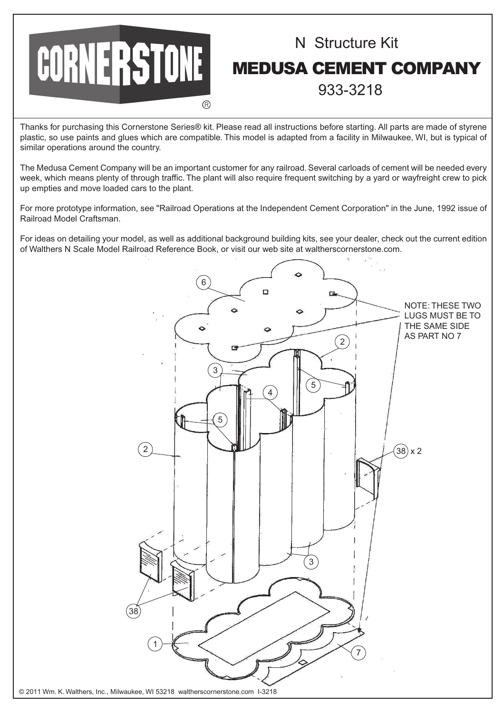

## N Structure Kit MEDUSA CEMENT COMPANY 933-3218

Thanks for purchasing this Cornerstone Series® kit. Please read all instructions before starting. All parts are made of styrene plastic, so use paints and glues which are compatible. This model is adapted from a facility in Milwaukee, WI, but is typical of similar operations around the country.

The Medusa Cement Company will be an important customer for any railroad. Several carloads of cement will be needed every week, which means plenty of through traffic. The plant will also require frequent switching by a yard or wayfreight crew to pick up empties and move loaded cars to the plant.

For more prototype information, see "Railroad Operations at the Independent Cement Corporation" in the June, 1992 issue of Railroad Model Craftsman.

For ideas on detailing your model, as well as additional background building kits, see your dealer, check out the current edition of Walthers N Scale Model Railroad Reference Book, or visit our web site at waltherscornerstone.com.